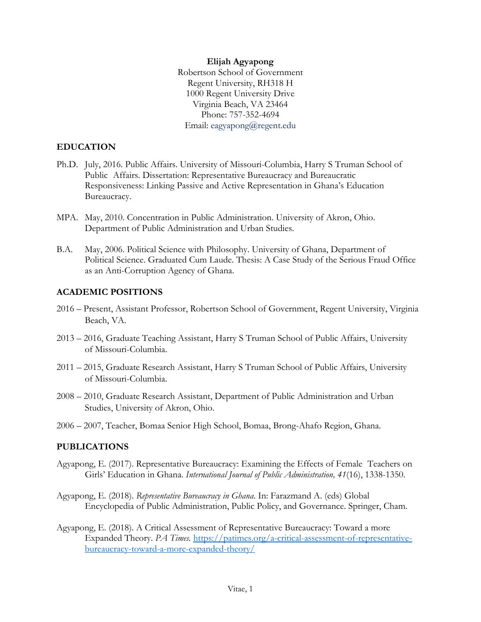### **Elijah Agyapong** Robertson School of Government Regent University, RH318 H 1000 Regent University Drive Virginia Beach, VA 23464 Phone: 757-352-4694 Email: [eagyapong@regent.edu](mailto:eagyapong@regent.edu)

## **EDUCATION**

- Ph.D. July, 2016. Public Affairs. University of Missouri-Columbia, Harry S Truman School of Public Affairs. Dissertation: Representative Bureaucracy and Bureaucratic Responsiveness: Linking Passive and Active Representation in Ghana's Education Bureaucracy.
- MPA. May, 2010. Concentration in Public Administration. University of Akron, Ohio. Department of Public Administration and Urban Studies.
- B.A. May, 2006. Political Science with Philosophy. University of Ghana, Department of Political Science. Graduated Cum Laude. Thesis: A Case Study of the Serious Fraud Office as an Anti-Corruption Agency of Ghana.

### **ACADEMIC POSITIONS**

- 2016 Present, Assistant Professor, Robertson School of Government, Regent University, Virginia Beach, VA.
- 2013 2016, Graduate Teaching Assistant, Harry S Truman School of Public Affairs, University of Missouri-Columbia.
- 2011 2015, Graduate Research Assistant, Harry S Truman School of Public Affairs, University of Missouri-Columbia.
- 2008 2010, Graduate Research Assistant, Department of Public Administration and Urban Studies, University of Akron, Ohio.
- 2006 2007, Teacher, Bomaa Senior High School, Bomaa, Brong-Ahafo Region, Ghana.

#### **PUBLICATIONS**

- Agyapong, E. (2017). Representative Bureaucracy: Examining the Effects of Female Teachers on Girls' Education in Ghana. *International Journal of Public Administration, 41*(16), 1338-1350.
- Agyapong, E. (2018). *Representative Bureaucracy in Ghana*. In: Farazmand A. (eds) Global Encyclopedia of Public Administration, Public Policy, and Governance. Springer, Cham.
- Agyapong, E. (2018). A Critical Assessment of Representative Bureaucracy: Toward a more Expanded Theory. *PA Times.* [https://patimes.org/a-critical-assessment-of-representative](https://patimes.org/a-critical-assessment-of-representative-%09bureaucracy-toward-a-more-expanded-theory/)[bureaucracy-toward-a-more-expanded-theory/](https://patimes.org/a-critical-assessment-of-representative-%09bureaucracy-toward-a-more-expanded-theory/)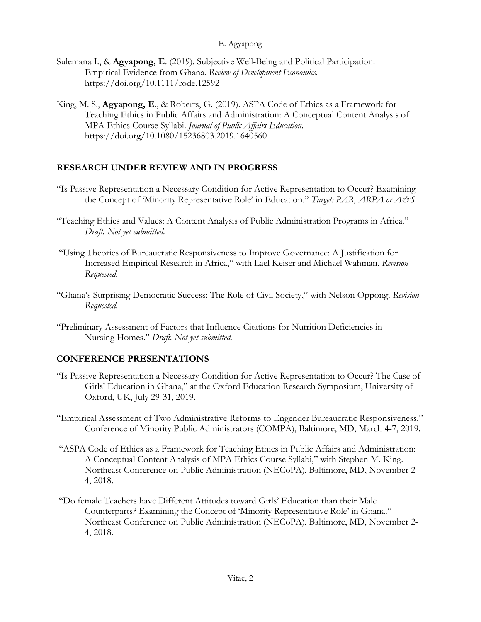#### E. Agyapong

- Sulemana I., & **Agyapong, E**. (2019). Subjective Well-Being and Political Participation: Empirical Evidence from Ghana. *Review of Development Economics.* <https://doi.org/10.1111/rode.12592>
- King, M. S., **Agyapong, E**., & Roberts, G. (2019). ASPA Code of Ethics as a Framework for Teaching Ethics in Public Affairs and Administration: A Conceptual Content Analysis of MPA Ethics Course Syllabi. *Journal of Public Affairs Education.* https://doi.org/10.1080/15236803.2019.1640560

## **RESEARCH UNDER REVIEW AND IN PROGRESS**

- "Is Passive Representation a Necessary Condition for Active Representation to Occur? Examining the Concept of 'Minority Representative Role' in Education." *Target: PAR, ARPA or A&S*
- "Teaching Ethics and Values: A Content Analysis of Public Administration Programs in Africa." *Draft. Not yet submitted.*
- "Using Theories of Bureaucratic Responsiveness to Improve Governance: A Justification for Increased Empirical Research in Africa," with Lael Keiser and Michael Wahman. *Revision Requested.*
- "Ghana's Surprising Democratic Success: The Role of Civil Society," with Nelson Oppong. *Revision Requested.*
- "Preliminary Assessment of Factors that Influence Citations for Nutrition Deficiencies in Nursing Homes." *Draft. Not yet submitted.*

## **CONFERENCE PRESENTATIONS**

- "Is Passive Representation a Necessary Condition for Active Representation to Occur? The Case of Girls' Education in Ghana," at the Oxford Education Research Symposium, University of Oxford, UK, July 29-31, 2019.
- "Empirical Assessment of Two Administrative Reforms to Engender Bureaucratic Responsiveness." Conference of Minority Public Administrators (COMPA), Baltimore, MD, March 4-7, 2019.
- "ASPA Code of Ethics as a Framework for Teaching Ethics in Public Affairs and Administration: A Conceptual Content Analysis of MPA Ethics Course Syllabi," with Stephen M. King. Northeast Conference on Public Administration (NECoPA), Baltimore, MD, November 2- 4, 2018.
- "Do female Teachers have Different Attitudes toward Girls' Education than their Male Counterparts? Examining the Concept of 'Minority Representative Role' in Ghana." Northeast Conference on Public Administration (NECoPA), Baltimore, MD, November 2- 4, 2018.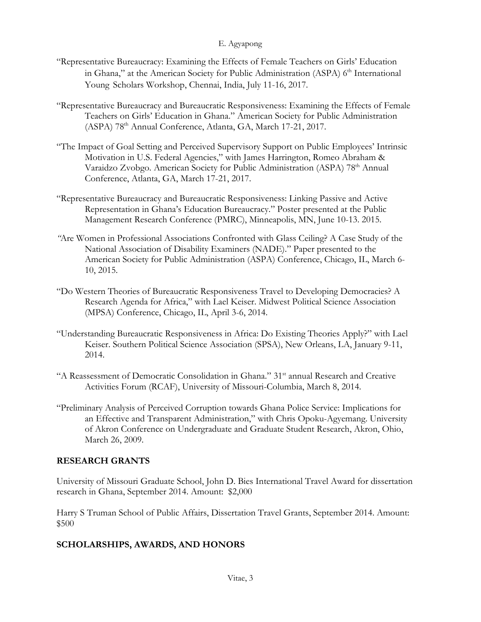### E. Agyapong

- "Representative Bureaucracy: Examining the Effects of Female Teachers on Girls' Education in Ghana," at the American Society for Public Administration (ASPA) 6<sup>th</sup> International Young Scholars Workshop, Chennai, India, July 11-16, 2017.
- "Representative Bureaucracy and Bureaucratic Responsiveness: Examining the Effects of Female Teachers on Girls' Education in Ghana." American Society for Public Administration (ASPA) 78th Annual Conference, Atlanta, GA, March 17-21, 2017.
- "The Impact of Goal Setting and Perceived Supervisory Support on Public Employees' Intrinsic Motivation in U.S. Federal Agencies," with James Harrington, Romeo Abraham & Varaidzo Zvobgo. American Society for Public Administration (ASPA) 78<sup>th</sup> Annual Conference, Atlanta, GA, March 17-21, 2017.
- "Representative Bureaucracy and Bureaucratic Responsiveness: Linking Passive and Active Representation in Ghana's Education Bureaucracy." Poster presented at the Public Management Research Conference (PMRC), Minneapolis, MN, June 10-13. 2015.
- *"*Are Women in Professional Associations Confronted with Glass Ceiling? A Case Study of the National Association of Disability Examiners (NADE)." Paper presented to the American Society for Public Administration (ASPA) Conference, Chicago, IL, March 6- 10, 2015.
- "Do Western Theories of Bureaucratic Responsiveness Travel to Developing Democracies? A Research Agenda for Africa," with Lael Keiser. Midwest Political Science Association (MPSA) Conference, Chicago, IL, April 3-6, 2014.
- "Understanding Bureaucratic Responsiveness in Africa: Do Existing Theories Apply?" with Lael Keiser. Southern Political Science Association (SPSA), New Orleans, LA, January 9-11, 2014.
- "A Reassessment of Democratic Consolidation in Ghana." 31st annual Research and Creative Activities Forum (RCAF), University of Missouri-Columbia, March 8, 2014.
- "Preliminary Analysis of Perceived Corruption towards Ghana Police Service: Implications for an Effective and Transparent Administration," with Chris Opoku-Agyemang. University of Akron Conference on Undergraduate and Graduate Student Research, Akron, Ohio, March 26, 2009.

## **RESEARCH GRANTS**

University of Missouri Graduate School, John D. Bies International Travel Award for dissertation research in Ghana, September 2014. Amount: \$2,000

Harry S Truman School of Public Affairs, Dissertation Travel Grants, September 2014. Amount: \$500

## **SCHOLARSHIPS, AWARDS, AND HONORS**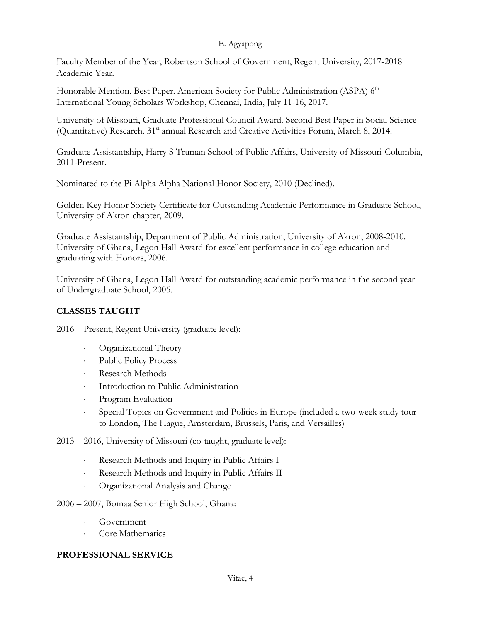### E. Agyapong

Faculty Member of the Year, Robertson School of Government, Regent University, 2017-2018 Academic Year.

Honorable Mention, Best Paper. American Society for Public Administration (ASPA) 6<sup>th</sup> International Young Scholars Workshop, Chennai, India, July 11-16, 2017.

University of Missouri, Graduate Professional Council Award. Second Best Paper in Social Science (Quantitative) Research. 31<sup>st</sup> annual Research and Creative Activities Forum, March 8, 2014.

Graduate Assistantship, Harry S Truman School of Public Affairs, University of Missouri-Columbia, 2011-Present.

Nominated to the Pi Alpha Alpha National Honor Society, 2010 (Declined).

Golden Key Honor Society Certificate for Outstanding Academic Performance in Graduate School, University of Akron chapter, 2009.

Graduate Assistantship, Department of Public Administration, University of Akron, 2008-2010. University of Ghana, Legon Hall Award for excellent performance in college education and graduating with Honors, 2006.

University of Ghana, Legon Hall Award for outstanding academic performance in the second year of Undergraduate School, 2005.

# **CLASSES TAUGHT**

2016 – Present, Regent University (graduate level):

- ⋅ Organizational Theory
- ⋅ Public Policy Process
- Research Methods
- ⋅ Introduction to Public Administration
- ⋅ Program Evaluation
- ⋅ Special Topics on Government and Politics in Europe (included a two-week study tour to London, The Hague, Amsterdam, Brussels, Paris, and Versailles)
- 2013 2016, University of Missouri (co-taught, graduate level):
	- Research Methods and Inquiry in Public Affairs I
	- Research Methods and Inquiry in Public Affairs II
	- ⋅ Organizational Analysis and Change
- 2006 2007, Bomaa Senior High School, Ghana:
	- ⋅ Government
	- Core Mathematics

## **PROFESSIONAL SERVICE**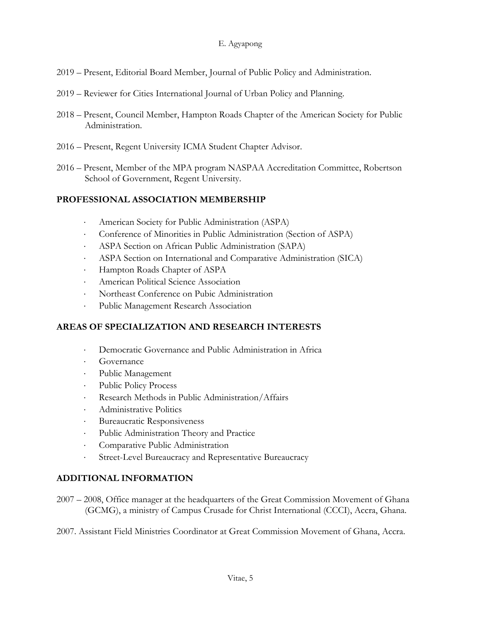- 2019 Present, Editorial Board Member, Journal of Public Policy and Administration.
- 2019 Reviewer for Cities International Journal of Urban Policy and Planning.
- 2018 Present, Council Member, Hampton Roads Chapter of the American Society for Public Administration.
- 2016 Present, Regent University ICMA Student Chapter Advisor.
- 2016 Present, Member of the MPA program NASPAA Accreditation Committee, Robertson School of Government, Regent University.

## **PROFESSIONAL ASSOCIATION MEMBERSHIP**

- ⋅ American Society for Public Administration (ASPA)
- ⋅ Conference of Minorities in Public Administration (Section of ASPA)
- ⋅ ASPA Section on African Public Administration (SAPA)
- **EXPA Section on International and Comparative Administration (SICA)**
- ⋅ Hampton Roads Chapter of ASPA
- ⋅ American Political Science Association
- ⋅ Northeast Conference on Pubic Administration
- ⋅ Public Management Research Association

## **AREAS OF SPECIALIZATION AND RESEARCH INTERESTS**

- Democratic Governance and Public Administration in Africa
- ⋅ Governance
- ⋅ Public Management
- ⋅ Public Policy Process
- Research Methods in Public Administration/Affairs
- ⋅ Administrative Politics
- ⋅ Bureaucratic Responsiveness
- ⋅ Public Administration Theory and Practice
- ⋅ Comparative Public Administration
- ⋅ Street-Level Bureaucracy and Representative Bureaucracy

## **ADDITIONAL INFORMATION**

- 2007 2008, Office manager at the headquarters of the Great Commission Movement of Ghana (GCMG), a ministry of Campus Crusade for Christ International (CCCI), Accra, Ghana.
- 2007. Assistant Field Ministries Coordinator at Great Commission Movement of Ghana, Accra.